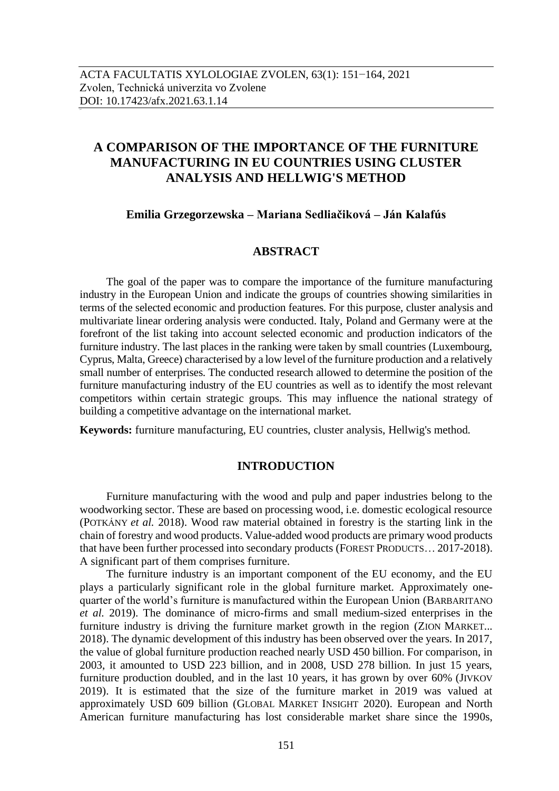# **A COMPARISON OF THE IMPORTANCE OF THE FURNITURE MANUFACTURING IN EU COUNTRIES USING CLUSTER ANALYSIS AND HELLWIG'S METHOD**

## **Emilia Grzegorzewska – Mariana Sedliačiková – Ján Kalafús**

#### **ABSTRACT**

The goal of the paper was to compare the importance of the furniture manufacturing industry in the European Union and indicate the groups of countries showing similarities in terms of the selected economic and production features. For this purpose, cluster analysis and multivariate linear ordering analysis were conducted. Italy, Poland and Germany were at the forefront of the list taking into account selected economic and production indicators of the furniture industry. The last places in the ranking were taken by small countries (Luxembourg, Cyprus, Malta, Greece) characterised by a low level of the furniture production and a relatively small number of enterprises. The conducted research allowed to determine the position of the furniture manufacturing industry of the EU countries as well as to identify the most relevant competitors within certain strategic groups. This may influence the national strategy of building a competitive advantage on the international market.

**Keywords:** furniture manufacturing, EU countries, cluster analysis, Hellwig's method.

#### **INTRODUCTION**

Furniture manufacturing with the wood and pulp and paper industries belong to the woodworking sector. These are based on processing wood, i.e. domestic ecological resource (POTKÁNY *et al.* 2018). Wood raw material obtained in forestry is the starting link in the chain of forestry and wood products. Value-added wood products are primary wood products that have been further processed into secondary products (FOREST PRODUCTS… 2017-2018). A significant part of them comprises furniture.

The furniture industry is an important component of the EU economy, and the EU plays a particularly significant role in the global furniture market. Approximately onequarter of the world's furniture is manufactured within the European Union (BARBARITANO *et al.* 2019). The dominance of micro-firms and small medium-sized enterprises in the furniture industry is driving the furniture market growth in the region (ZION MARKET... 2018). The dynamic development of this industry has been observed over the years. In 2017, the value of global furniture production reached nearly USD 450 billion. For comparison, in 2003, it amounted to USD 223 billion, and in 2008, USD 278 billion. In just 15 years, furniture production doubled, and in the last 10 years, it has grown by over 60% (JIVKOV 2019). It is estimated that the size of the furniture market in 2019 was valued at approximately USD 609 billion (GLOBAL MARKET INSIGHT 2020). European and North American furniture manufacturing has lost considerable market share since the 1990s,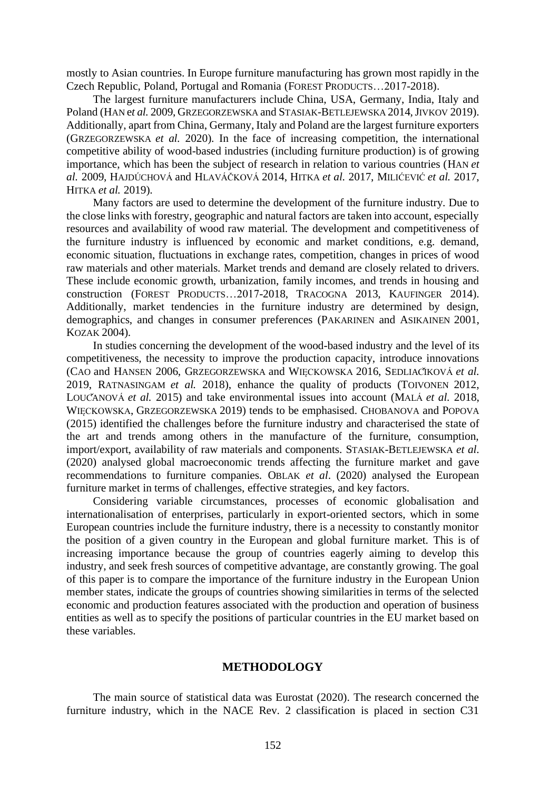mostly to Asian countries. In Europe furniture manufacturing has grown most rapidly in the Czech Republic, Poland, Portugal and Romania (FOREST PRODUCTS…2017-2018).

The largest furniture manufacturers include China, USA, Germany, India, Italy and Poland (HAN e*t al.* 2009, GRZEGORZEWSKA and STASIAK-BETLEJEWSKA 2014,JIVKOV 2019). Additionally, apart from China, Germany, Italy and Poland are the largest furniture exporters (GRZEGORZEWSKA *et al.* 2020). In the face of increasing competition, the international competitive ability of wood-based industries (including furniture production) is of growing importance, which has been the subject of research in relation to various countries (HAN *et al.* 2009, HAJDÚCHOVÁ and HLAVÁČKOVÁ 2014, HITKA *et al.* 2017, MILIĆEVIĆ *et al.* 2017, HITKA *et al.* 2019).

Many factors are used to determine the development of the furniture industry. Due to the close links with forestry, geographic and natural factors are taken into account, especially resources and availability of wood raw material. The development and competitiveness of the furniture industry is influenced by economic and market conditions, e.g. demand, economic situation, fluctuations in exchange rates, competition, changes in prices of wood raw materials and other materials. Market trends and demand are closely related to drivers. These include economic growth, urbanization, family incomes, and trends in housing and construction (FOREST PRODUCTS…2017-2018, TRACOGNA 2013, KAUFINGER 2014). Additionally, market tendencies in the furniture industry are determined by design, demographics, and changes in consumer preferences (PAKARINEN and ASIKAINEN 2001, KOZAK 2004).

In studies concerning the development of the wood-based industry and the level of its competitiveness, the necessity to improve the production capacity, introduce innovations (CAO and HANSEN 2006, GRZEGORZEWSKA and WIĘCKOWSKA 2016, SEDLIAČIKOVÁ *et al.* 2019, RATNASINGAM *et al.* 2018), enhance the quality of products (TOIVONEN 2012, LOUČANOVÁ *et al.* 2015) and take environmental issues into account (MALÁ *et al.* 2018, WIĘCKOWSKA, GRZEGORZEWSKA 2019) tends to be emphasised. CHOBANOVA and POPOVA (2015) identified the challenges before the furniture industry and characterised the state of the art and trends among others in the manufacture of the furniture, consumption, import/export, availability of raw materials and components. STASIAK-BETLEJEWSKA *et al*. (2020) analysed global macroeconomic trends affecting the furniture market and gave recommendations to furniture companies. OBLAK *et al*. (2020) analysed the European furniture market in terms of challenges, effective strategies, and key factors.

Considering variable circumstances, processes of economic globalisation and internationalisation of enterprises, particularly in export-oriented sectors, which in some European countries include the furniture industry, there is a necessity to constantly monitor the position of a given country in the European and global furniture market. This is of increasing importance because the group of countries eagerly aiming to develop this industry, and seek fresh sources of competitive advantage, are constantly growing. The goal of this paper is to compare the importance of the furniture industry in the European Union member states, indicate the groups of countries showing similarities in terms of the selected economic and production features associated with the production and operation of business entities as well as to specify the positions of particular countries in the EU market based on these variables.

#### **METHODOLOGY**

The main source of statistical data was Eurostat (2020). The research concerned the furniture industry, which in the NACE Rev. 2 classification is placed in section C31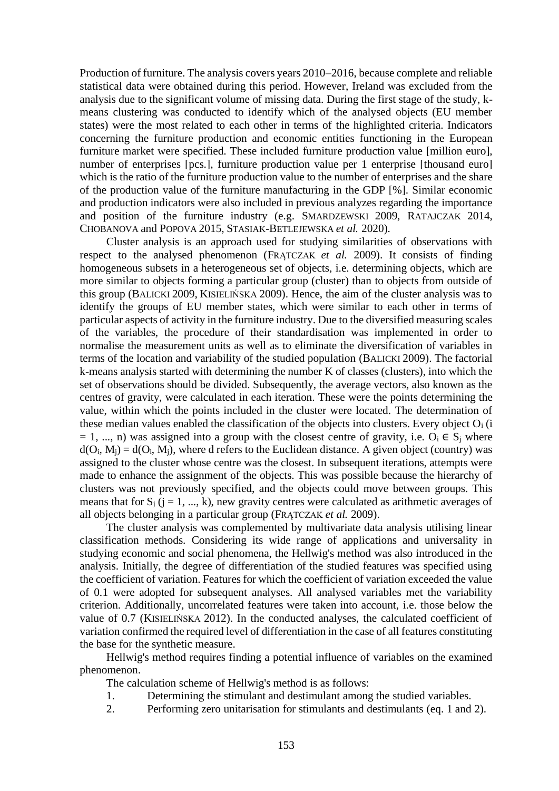Production of furniture. The analysis covers years 2010–2016, because complete and reliable statistical data were obtained during this period. However, Ireland was excluded from the analysis due to the significant volume of missing data. During the first stage of the study, kmeans clustering was conducted to identify which of the analysed objects (EU member states) were the most related to each other in terms of the highlighted criteria. Indicators concerning the furniture production and economic entities functioning in the European furniture market were specified. These included furniture production value [million euro], number of enterprises [pcs.], furniture production value per 1 enterprise [thousand euro] which is the ratio of the furniture production value to the number of enterprises and the share of the production value of the furniture manufacturing in the GDP [%]. Similar economic and production indicators were also included in previous analyzes regarding the importance and position of the furniture industry (e.g. SMARDZEWSKI 2009, RATAJCZAK 2014, CHOBANOVA and POPOVA 2015, STASIAK-BETLEJEWSKA *et al.* 2020).

Cluster analysis is an approach used for studying similarities of observations with respect to the analysed phenomenon (FRĄTCZAK *et al.* 2009). It consists of finding homogeneous subsets in a heterogeneous set of objects, i.e. determining objects, which are more similar to objects forming a particular group (cluster) than to objects from outside of this group (BALICKI 2009, KISIELIŃSKA 2009). Hence, the aim of the cluster analysis was to identify the groups of EU member states, which were similar to each other in terms of particular aspects of activity in the furniture industry. Due to the diversified measuring scales of the variables, the procedure of their standardisation was implemented in order to normalise the measurement units as well as to eliminate the diversification of variables in terms of the location and variability of the studied population (BALICKI 2009). The factorial k-means analysis started with determining the number K of classes (clusters), into which the set of observations should be divided. Subsequently, the average vectors, also known as the centres of gravity, were calculated in each iteration. These were the points determining the value, within which the points included in the cluster were located. The determination of these median values enabled the classification of the objects into clusters. Every object  $O_i$  (i  $= 1, ..., n$ ) was assigned into a group with the closest centre of gravity, i.e.  $O_i \in S_i$  where  $d(O_i, M_i) = d(O_i, M_i)$ , where d refers to the Euclidean distance. A given object (country) was assigned to the cluster whose centre was the closest. In subsequent iterations, attempts were made to enhance the assignment of the objects. This was possible because the hierarchy of clusters was not previously specified, and the objects could move between groups. This means that for  $S_i$  ( $j = 1, ..., k$ ), new gravity centres were calculated as arithmetic averages of all objects belonging in a particular group (FRĄTCZAK *et al.* 2009).

The cluster analysis was complemented by multivariate data analysis utilising linear classification methods. Considering its wide range of applications and universality in studying economic and social phenomena, the Hellwig's method was also introduced in the analysis. Initially, the degree of differentiation of the studied features was specified using the coefficient of variation. Features for which the coefficient of variation exceeded the value of 0.1 were adopted for subsequent analyses. All analysed variables met the variability criterion. Additionally, uncorrelated features were taken into account, i.e. those below the value of 0.7 (KISIELIŃSKA 2012). In the conducted analyses, the calculated coefficient of variation confirmed the required level of differentiation in the case of all features constituting the base for the synthetic measure.

Hellwig's method requires finding a potential influence of variables on the examined phenomenon.

The calculation scheme of Hellwig's method is as follows:

- 1. Determining the stimulant and destimulant among the studied variables.
- 2. Performing zero unitarisation for stimulants and destimulants (eq. 1 and 2).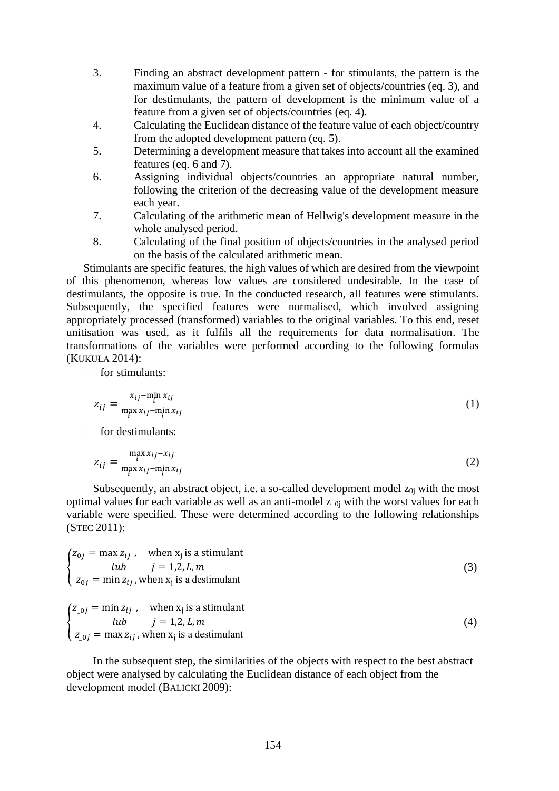- 3. Finding an abstract development pattern for stimulants, the pattern is the maximum value of a feature from a given set of objects/countries (eq. 3), and for destimulants, the pattern of development is the minimum value of a feature from a given set of objects/countries (eq. 4).
- 4. Calculating the Euclidean distance of the feature value of each object/country from the adopted development pattern (eq. 5).
- 5. Determining a development measure that takes into account all the examined features (eq. 6 and 7).
- 6. Assigning individual objects/countries an appropriate natural number, following the criterion of the decreasing value of the development measure each year.
- 7. Calculating of the arithmetic mean of Hellwig's development measure in the whole analysed period.
- 8. Calculating of the final position of objects/countries in the analysed period on the basis of the calculated arithmetic mean.

Stimulants are specific features, the high values of which are desired from the viewpoint of this phenomenon, whereas low values are considered undesirable. In the case of destimulants, the opposite is true. In the conducted research, all features were stimulants. Subsequently, the specified features were normalised, which involved assigning appropriately processed (transformed) variables to the original variables. To this end, reset unitisation was used, as it fulfils all the requirements for data normalisation. The transformations of the variables were performed according to the following formulas (KUKUŁA 2014):

− for stimulants:

$$
z_{ij} = \frac{x_{ij} - \min_{i} x_{ij}}{\max_{i} x_{ij} - \min_{i} x_{ij}}
$$
(1)

− for destimulants:

$$
z_{ij} = \frac{\max\limits_{i} x_{ij} - x_{ij}}{\max\limits_{i} x_{ij} - \min\limits_{i} x_{ij}}\tag{2}
$$

Subsequently, an abstract object, i.e. a so-called development model  $z_{0i}$  with the most optimal values for each variable as well as an anti-model  $z_{0i}$  with the worst values for each variable were specified. These were determined according to the following relationships (STEC 2011):

$$
\begin{cases}\nz_{0j} = \max z_{ij}, & \text{when } x_j \text{ is a stimulant} \\
lub & j = 1,2, L, m\n\end{cases}
$$
\n
$$
z_{0j} = \min z_{ij}, \text{when } x_j \text{ is a destimulant}
$$
\n
$$
\begin{cases}\nz_{0j} = \min z_{ij}, & \text{when } x_j \text{ is a stimulant}\n\end{cases}
$$
\n(3)

$$
\begin{cases}\n z_{0j} = \min z_{ij}, & \text{when } x_j \text{ is a stimulation} \\
 lab & j = 1, 2, L, m \\
 z_{0j} = \max z_{ij}, \text{when } x_j \text{ is a destination}\n\end{cases}
$$
\n(4)

In the subsequent step, the similarities of the objects with respect to the best abstract object were analysed by calculating the Euclidean distance of each object from the development model (BALICKI 2009):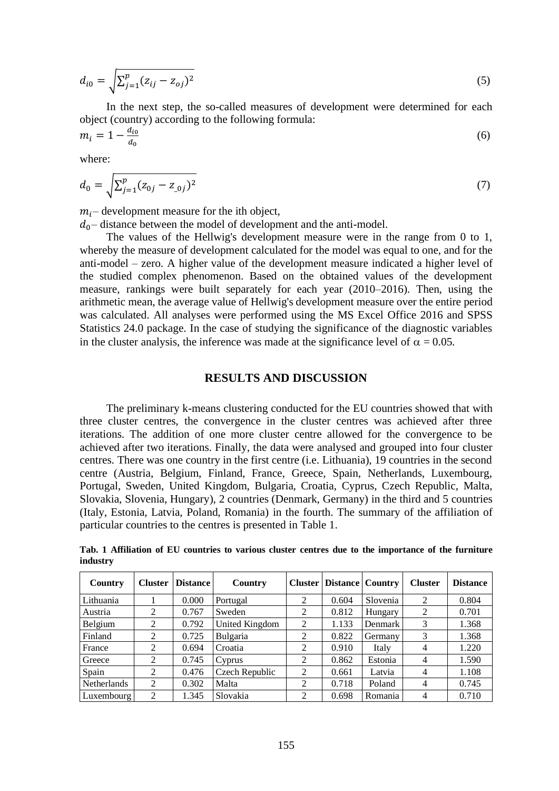$$
d_{i0} = \sqrt{\sum_{j=1}^{p} (z_{ij} - z_{oj})^2}
$$
 (5)

In the next step, the so-called measures of development were determined for each object (country) according to the following formula:

$$
m_i = 1 - \frac{d_{io}}{d_0} \tag{6}
$$

where:

$$
d_0 = \sqrt{\sum_{j=1}^p (z_{0j} - z_{0j})^2}
$$
 (7)

 $m_i$ – development measure for the ith object,

 $d_0$ – distance between the model of development and the anti-model.

The values of the Hellwig's development measure were in the range from 0 to 1, whereby the measure of development calculated for the model was equal to one, and for the anti-model – zero. A higher value of the development measure indicated a higher level of the studied complex phenomenon. Based on the obtained values of the development measure, rankings were built separately for each year (2010–2016). Then, using the arithmetic mean, the average value of Hellwig's development measure over the entire period was calculated. All analyses were performed using the MS Excel Office 2016 and SPSS Statistics 24.0 package. In the case of studying the significance of the diagnostic variables in the cluster analysis, the inference was made at the significance level of  $\alpha = 0.05$ .

## **RESULTS AND DISCUSSION**

The preliminary k-means clustering conducted for the EU countries showed that with three cluster centres, the convergence in the cluster centres was achieved after three iterations. The addition of one more cluster centre allowed for the convergence to be achieved after two iterations. Finally, the data were analysed and grouped into four cluster centres. There was one country in the first centre (i.e. Lithuania), 19 countries in the second centre (Austria, Belgium, Finland, France, Greece, Spain, Netherlands, Luxembourg, Portugal, Sweden, United Kingdom, Bulgaria, Croatia, Cyprus, Czech Republic, Malta, Slovakia, Slovenia, Hungary), 2 countries (Denmark, Germany) in the third and 5 countries (Italy, Estonia, Latvia, Poland, Romania) in the fourth. The summary of the affiliation of particular countries to the centres is presented in Table 1.

**Country Cluster Distance Country Cluster Distance Country Cluster Distance** Lithuania 1 0.000 Portugal 2 0.604 Slovenia 2 0.804 Austria 2 0.767 Sweden 2 0.812 Hungary 2 0.701 Belgium 2 0.792 United Kingdom 2 1.133 Denmark 3 1.368 Finland | 2 | 0.725 | Bulgaria | 2 | 0.822 | Germany | 3 | 1.368 France | 2 | 0.694 | Croatia | 2 | 0.910 | Italy | 4 | 1.220 Greece | 2 | 0.745 | Cyprus | 2 | 0.862 | Estonia | 4 | 1.590 Spain 2 0.476 Czech Republic 2 0.661 Latvia 4 1.108 Netherlands 2 0.302 Malta 2 0.718 Poland 4 0.745 Luxembourg 2 1.345 Slovakia 2 0.698 Romania 4 0.710

**Tab. 1 Affiliation of EU countries to various cluster centres due to the importance of the furniture industry**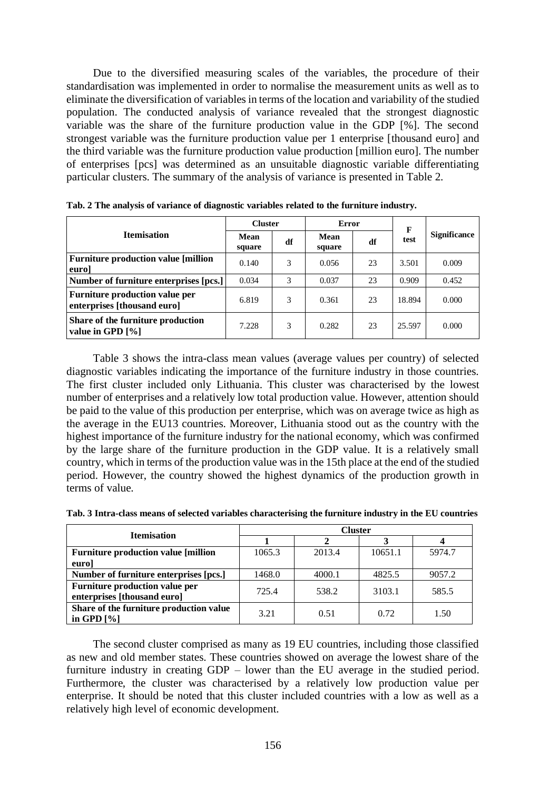Due to the diversified measuring scales of the variables, the procedure of their standardisation was implemented in order to normalise the measurement units as well as to eliminate the diversification of variables in terms of the location and variability of the studied population. The conducted analysis of variance revealed that the strongest diagnostic variable was the share of the furniture production value in the GDP [%]. The second strongest variable was the furniture production value per 1 enterprise [thousand euro] and the third variable was the furniture production value production [million euro]. The number of enterprises [pcs] was determined as an unsuitable diagnostic variable differentiating particular clusters. The summary of the analysis of variance is presented in Table 2.

|                                                                      | <b>Cluster</b> |    | <b>Error</b>   |    | F      |                     |  |
|----------------------------------------------------------------------|----------------|----|----------------|----|--------|---------------------|--|
| <b>Itemisation</b>                                                   | Mean<br>square | df | Mean<br>square | df | test   | <b>Significance</b> |  |
| <b>Furniture production value [million</b> ]<br>euro]                | 0.140          | 3  | 0.056          | 23 | 3.501  | 0.009               |  |
| Number of furniture enterprises [pcs.]                               | 0.034          | 3  | 0.037          | 23 | 0.909  | 0.452               |  |
| <b>Furniture production value per</b><br>enterprises [thousand euro] | 6.819          | 3  | 0.361          | 23 | 18.894 | 0.000               |  |
| Share of the furniture production<br>value in GPD [%]                | 7.228          | 3  | 0.282          | 23 | 25.597 | 0.000               |  |

**Tab. 2 The analysis of variance of diagnostic variables related to the furniture industry.**

Table 3 shows the intra-class mean values (average values per country) of selected diagnostic variables indicating the importance of the furniture industry in those countries. The first cluster included only Lithuania. This cluster was characterised by the lowest number of enterprises and a relatively low total production value. However, attention should be paid to the value of this production per enterprise, which was on average twice as high as the average in the EU13 countries. Moreover, Lithuania stood out as the country with the highest importance of the furniture industry for the national economy, which was confirmed by the large share of the furniture production in the GDP value. It is a relatively small country, which in terms of the production value was in the 15th place at the end of the studied period. However, the country showed the highest dynamics of the production growth in terms of value.

**Tab. 3 Intra-class means of selected variables characterising the furniture industry in the EU countries**

| <b>Itemisation</b>                                                   | <b>Cluster</b> |        |         |        |  |  |  |  |
|----------------------------------------------------------------------|----------------|--------|---------|--------|--|--|--|--|
|                                                                      |                |        |         |        |  |  |  |  |
| <b>Furniture production value [million</b> ]                         | 1065.3         | 2013.4 | 10651.1 | 5974.7 |  |  |  |  |
| euro]                                                                |                |        |         |        |  |  |  |  |
| Number of furniture enterprises [pcs.]                               | 1468.0         | 4000.1 | 4825.5  | 9057.2 |  |  |  |  |
| <b>Furniture production value per</b><br>enterprises [thousand euro] | 725.4          | 538.2  | 3103.1  | 585.5  |  |  |  |  |
| Share of the furniture production value                              |                |        |         |        |  |  |  |  |
| in GPD $[%]$                                                         | 3.21           | 0.51   | 0.72    | 1.50   |  |  |  |  |

The second cluster comprised as many as 19 EU countries, including those classified as new and old member states. These countries showed on average the lowest share of the furniture industry in creating GDP – lower than the EU average in the studied period. Furthermore, the cluster was characterised by a relatively low production value per enterprise. It should be noted that this cluster included countries with a low as well as a relatively high level of economic development.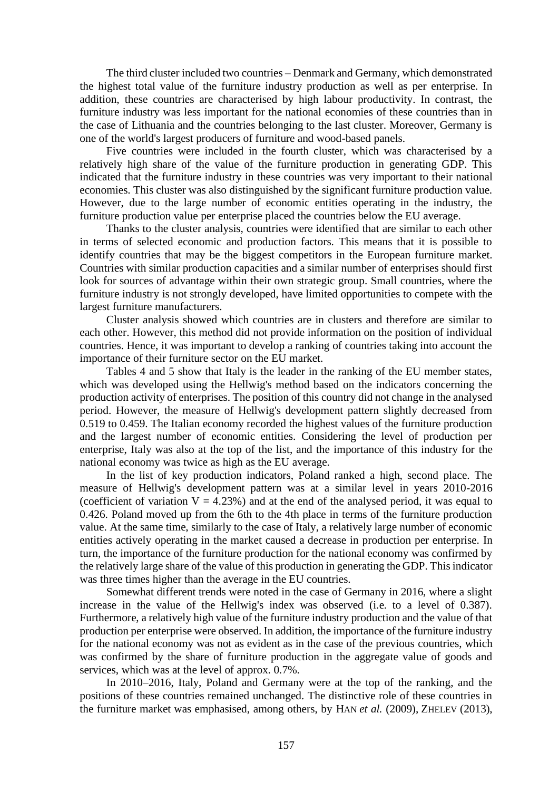The third cluster included two countries – Denmark and Germany, which demonstrated the highest total value of the furniture industry production as well as per enterprise. In addition, these countries are characterised by high labour productivity. In contrast, the furniture industry was less important for the national economies of these countries than in the case of Lithuania and the countries belonging to the last cluster. Moreover, Germany is one of the world's largest producers of furniture and wood-based panels.

Five countries were included in the fourth cluster, which was characterised by a relatively high share of the value of the furniture production in generating GDP. This indicated that the furniture industry in these countries was very important to their national economies. This cluster was also distinguished by the significant furniture production value. However, due to the large number of economic entities operating in the industry, the furniture production value per enterprise placed the countries below the EU average.

Thanks to the cluster analysis, countries were identified that are similar to each other in terms of selected economic and production factors. This means that it is possible to identify countries that may be the biggest competitors in the European furniture market. Countries with similar production capacities and a similar number of enterprises should first look for sources of advantage within their own strategic group. Small countries, where the furniture industry is not strongly developed, have limited opportunities to compete with the largest furniture manufacturers.

Cluster analysis showed which countries are in clusters and therefore are similar to each other. However, this method did not provide information on the position of individual countries. Hence, it was important to develop a ranking of countries taking into account the importance of their furniture sector on the EU market.

Tables 4 and 5 show that Italy is the leader in the ranking of the EU member states, which was developed using the Hellwig's method based on the indicators concerning the production activity of enterprises. The position of this country did not change in the analysed period. However, the measure of Hellwig's development pattern slightly decreased from 0.519 to 0.459. The Italian economy recorded the highest values of the furniture production and the largest number of economic entities. Considering the level of production per enterprise, Italy was also at the top of the list, and the importance of this industry for the national economy was twice as high as the EU average.

In the list of key production indicators, Poland ranked a high, second place. The measure of Hellwig's development pattern was at a similar level in years 2010-2016 (coefficient of variation  $V = 4.23\%$ ) and at the end of the analysed period, it was equal to 0.426. Poland moved up from the 6th to the 4th place in terms of the furniture production value. At the same time, similarly to the case of Italy, a relatively large number of economic entities actively operating in the market caused a decrease in production per enterprise. In turn, the importance of the furniture production for the national economy was confirmed by the relatively large share of the value of this production in generating the GDP. This indicator was three times higher than the average in the EU countries.

Somewhat different trends were noted in the case of Germany in 2016, where a slight increase in the value of the Hellwig's index was observed (i.e. to a level of 0.387). Furthermore, a relatively high value of the furniture industry production and the value of that production per enterprise were observed. In addition, the importance of the furniture industry for the national economy was not as evident as in the case of the previous countries, which was confirmed by the share of furniture production in the aggregate value of goods and services, which was at the level of approx. 0.7%.

In 2010–2016, Italy, Poland and Germany were at the top of the ranking, and the positions of these countries remained unchanged. The distinctive role of these countries in the furniture market was emphasised, among others, by HAN *et al.* (2009), ZHELEV (2013),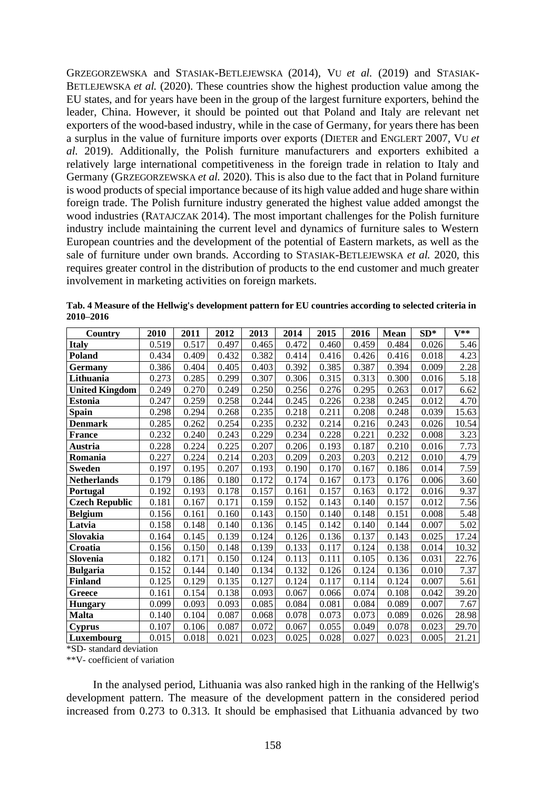GRZEGORZEWSKA and STASIAK-BETLEJEWSKA (2014), VU *et al.* (2019) and STASIAK-BETLEJEWSKA *et al.* (2020). These countries show the highest production value among the EU states, and for years have been in the group of the largest furniture exporters, behind the leader, China. However, it should be pointed out that Poland and Italy are relevant net exporters of the wood-based industry, while in the case of Germany, for years there has been a surplus in the value of furniture imports over exports (DIETER and ENGLERT 2007, VU *et al.* 2019). Additionally, the Polish furniture manufacturers and exporters exhibited a relatively large international competitiveness in the foreign trade in relation to Italy and Germany (GRZEGORZEWSKA *et al.* 2020). This is also due to the fact that in Poland furniture is wood products of special importance because of its high value added and huge share within foreign trade. The Polish furniture industry generated the highest value added amongst the wood industries (RATAJCZAK 2014). The most important challenges for the Polish furniture industry include maintaining the current level and dynamics of furniture sales to Western European countries and the development of the potential of Eastern markets, as well as the sale of furniture under own brands. According to STASIAK-BETLEJEWSKA *et al.* 2020, this requires greater control in the distribution of products to the end customer and much greater involvement in marketing activities on foreign markets.

| <b>Country</b>        | 2010  | 2011  | 2012  | 2013  | 2014  | 2015  | 2016  | <b>Mean</b> | $SD*$ | $V^{**}$ |
|-----------------------|-------|-------|-------|-------|-------|-------|-------|-------------|-------|----------|
| <b>Italy</b>          | 0.519 | 0.517 | 0.497 | 0.465 | 0.472 | 0.460 | 0.459 | 0.484       | 0.026 | 5.46     |
| Poland                | 0.434 | 0.409 | 0.432 | 0.382 | 0.414 | 0.416 | 0.426 | 0.416       | 0.018 | 4.23     |
| Germany               | 0.386 | 0.404 | 0.405 | 0.403 | 0.392 | 0.385 | 0.387 | 0.394       | 0.009 | 2.28     |
| Lithuania             | 0.273 | 0.285 | 0.299 | 0.307 | 0.306 | 0.315 | 0.313 | 0.300       | 0.016 | 5.18     |
| <b>United Kingdom</b> | 0.249 | 0.270 | 0.249 | 0.250 | 0.256 | 0.276 | 0.295 | 0.263       | 0.017 | 6.62     |
| <b>Estonia</b>        | 0.247 | 0.259 | 0.258 | 0.244 | 0.245 | 0.226 | 0.238 | 0.245       | 0.012 | 4.70     |
| <b>Spain</b>          | 0.298 | 0.294 | 0.268 | 0.235 | 0.218 | 0.211 | 0.208 | 0.248       | 0.039 | 15.63    |
| <b>Denmark</b>        | 0.285 | 0.262 | 0.254 | 0.235 | 0.232 | 0.214 | 0.216 | 0.243       | 0.026 | 10.54    |
| <b>France</b>         | 0.232 | 0.240 | 0.243 | 0.229 | 0.234 | 0.228 | 0.221 | 0.232       | 0.008 | 3.23     |
| Austria               | 0.228 | 0.224 | 0.225 | 0.207 | 0.206 | 0.193 | 0.187 | 0.210       | 0.016 | 7.73     |
| Romania               | 0.227 | 0.224 | 0.214 | 0.203 | 0.209 | 0.203 | 0.203 | 0.212       | 0.010 | 4.79     |
| <b>Sweden</b>         | 0.197 | 0.195 | 0.207 | 0.193 | 0.190 | 0.170 | 0.167 | 0.186       | 0.014 | 7.59     |
| <b>Netherlands</b>    | 0.179 | 0.186 | 0.180 | 0.172 | 0.174 | 0.167 | 0.173 | 0.176       | 0.006 | 3.60     |
| Portugal              | 0.192 | 0.193 | 0.178 | 0.157 | 0.161 | 0.157 | 0.163 | 0.172       | 0.016 | 9.37     |
| <b>Czech Republic</b> | 0.181 | 0.167 | 0.171 | 0.159 | 0.152 | 0.143 | 0.140 | 0.157       | 0.012 | 7.56     |
| <b>Belgium</b>        | 0.156 | 0.161 | 0.160 | 0.143 | 0.150 | 0.140 | 0.148 | 0.151       | 0.008 | 5.48     |
| Latvia                | 0.158 | 0.148 | 0.140 | 0.136 | 0.145 | 0.142 | 0.140 | 0.144       | 0.007 | 5.02     |
| Slovakia              | 0.164 | 0.145 | 0.139 | 0.124 | 0.126 | 0.136 | 0.137 | 0.143       | 0.025 | 17.24    |
| Croatia               | 0.156 | 0.150 | 0.148 | 0.139 | 0.133 | 0.117 | 0.124 | 0.138       | 0.014 | 10.32    |
| Slovenia              | 0.182 | 0.171 | 0.150 | 0.124 | 0.113 | 0.111 | 0.105 | 0.136       | 0.031 | 22.76    |
| <b>Bulgaria</b>       | 0.152 | 0.144 | 0.140 | 0.134 | 0.132 | 0.126 | 0.124 | 0.136       | 0.010 | 7.37     |
| <b>Finland</b>        | 0.125 | 0.129 | 0.135 | 0.127 | 0.124 | 0.117 | 0.114 | 0.124       | 0.007 | 5.61     |
| Greece                | 0.161 | 0.154 | 0.138 | 0.093 | 0.067 | 0.066 | 0.074 | 0.108       | 0.042 | 39.20    |
| <b>Hungary</b>        | 0.099 | 0.093 | 0.093 | 0.085 | 0.084 | 0.081 | 0.084 | 0.089       | 0.007 | 7.67     |
| <b>Malta</b>          | 0.140 | 0.104 | 0.087 | 0.068 | 0.078 | 0.073 | 0.073 | 0.089       | 0.026 | 28.98    |
| <b>Cyprus</b>         | 0.107 | 0.106 | 0.087 | 0.072 | 0.067 | 0.055 | 0.049 | 0.078       | 0.023 | 29.70    |
| Luxembourg            | 0.015 | 0.018 | 0.021 | 0.023 | 0.025 | 0.028 | 0.027 | 0.023       | 0.005 | 21.21    |

**Tab. 4 Measure of the Hellwig's development pattern for EU countries according to selected criteria in 2010–2016**

\*SD- standard deviation

\*\*V- coefficient of variation

In the analysed period, Lithuania was also ranked high in the ranking of the Hellwig's development pattern. The measure of the development pattern in the considered period increased from 0.273 to 0.313. It should be emphasised that Lithuania advanced by two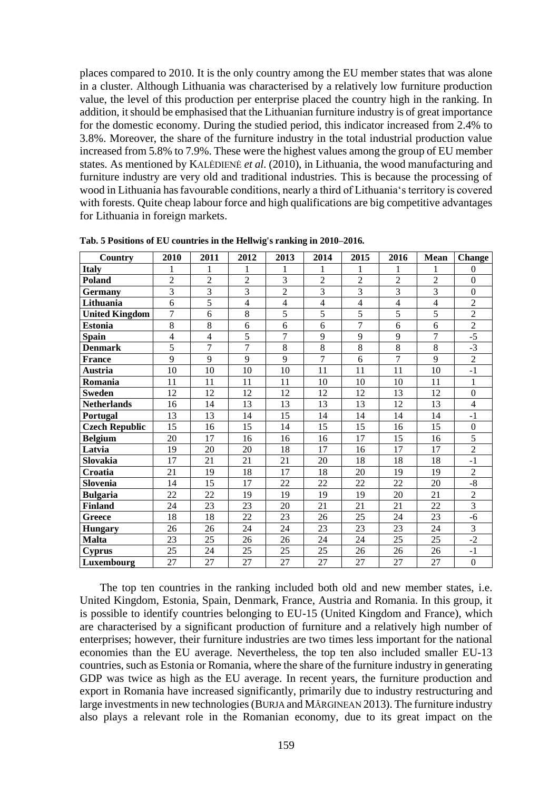places compared to 2010. It is the only country among the EU member states that was alone in a cluster. Although Lithuania was characterised by a relatively low furniture production value, the level of this production per enterprise placed the country high in the ranking. In addition, it should be emphasised that the Lithuanian furniture industry is of great importance for the domestic economy. During the studied period, this indicator increased from 2.4% to 3.8%. Moreover, the share of the furniture industry in the total industrial production value increased from 5.8% to 7.9%. These were the highest values among the group of EU member states. As mentioned by KALĖDIENĖ *et al*. (2010), in Lithuania, the wood manufacturing and furniture industry are very old and traditional industries. This is because the processing of wood in Lithuania has favourable conditions, nearly a third of Lithuania's territory is covered with forests. Quite cheap labour force and high qualifications are big competitive advantages for Lithuania in foreign markets.

| <b>Country</b>        | 2010                     | 2011           | 2012           | 2013           | 2014           | 2015           | 2016           | <b>Mean</b>    | <b>Change</b>  |
|-----------------------|--------------------------|----------------|----------------|----------------|----------------|----------------|----------------|----------------|----------------|
| <b>Italy</b>          | 1                        | 1              | 1              | 1              | 1              | 1              | 1              | 1              | $\theta$       |
| Poland                | 2                        | $\overline{2}$ | $\overline{2}$ | 3              | $\overline{c}$ | $\overline{2}$ | $\overline{2}$ | $\overline{2}$ | $\Omega$       |
| <b>Germany</b>        | 3                        | 3              | 3              | $\overline{2}$ | $\overline{3}$ | 3              | 3              | 3              | $\overline{0}$ |
| Lithuania             | 6                        | 5              | $\overline{4}$ | $\overline{4}$ | $\overline{4}$ | $\overline{4}$ | $\overline{4}$ | $\overline{4}$ | $\overline{2}$ |
| <b>United Kingdom</b> | $\overline{7}$           | 6              | 8              | $\overline{5}$ | 5              | $\overline{5}$ | $\overline{5}$ | $\overline{5}$ | $\overline{2}$ |
| <b>Estonia</b>        | 8                        | $\overline{8}$ | 6              | 6              | 6              | $\overline{7}$ | 6              | 6              | $\overline{2}$ |
| <b>Spain</b>          | $\overline{\mathcal{L}}$ | $\overline{4}$ | 5              | $\overline{7}$ | 9              | 9              | 9              | 7              | $-5$           |
| <b>Denmark</b>        | 5                        | $\overline{7}$ | $\overline{7}$ | 8              | $\,8\,$        | 8              | 8              | 8              | $-3$           |
| <b>France</b>         | 9                        | 9              | 9              | 9              | $\overline{7}$ | 6              | 7              | 9              | $\overline{2}$ |
| Austria               | 10                       | 10             | 10             | 10             | 11             | 11             | 11             | 10             | $-1$           |
| Romania               | 11                       | 11             | 11             | 11             | 10             | 10             | 10             | 11             | $\mathbf{1}$   |
| <b>Sweden</b>         | 12                       | 12             | 12             | 12             | 12             | 12             | 13             | 12             | $\mathbf{0}$   |
| <b>Netherlands</b>    | 16                       | 14             | 13             | 13             | 13             | 13             | 12             | 13             | $\overline{4}$ |
| Portugal              | 13                       | 13             | 14             | 15             | 14             | 14             | 14             | 14             | $-1$           |
| <b>Czech Republic</b> | 15                       | 16             | 15             | 14             | 15             | 15             | 16             | 15             | $\mathbf{0}$   |
| <b>Belgium</b>        | 20                       | 17             | 16             | 16             | 16             | 17             | 15             | 16             | $\overline{5}$ |
| Latvia                | 19                       | 20             | 20             | 18             | 17             | 16             | 17             | 17             | $\overline{2}$ |
| <b>Slovakia</b>       | 17                       | 21             | 21             | 21             | 20             | 18             | 18             | 18             | $-1$           |
| Croatia               | 21                       | 19             | 18             | 17             | 18             | 20             | 19             | 19             | $\overline{2}$ |
| Slovenia              | 14                       | 15             | 17             | 22             | 22             | 22             | 22             | 20             | $-8$           |
| <b>Bulgaria</b>       | 22                       | 22             | 19             | 19             | 19             | 19             | 20             | 21             | $\overline{2}$ |
| <b>Finland</b>        | 24                       | 23             | 23             | 20             | 21             | 21             | 21             | 22             | $\overline{3}$ |
| Greece                | 18                       | 18             | 22             | 23             | 26             | 25             | 24             | 23             | $-6$           |
| <b>Hungary</b>        | 26                       | 26             | 24             | 24             | 23             | 23             | 23             | 24             | $\overline{3}$ |
| <b>Malta</b>          | 23                       | 25             | 26             | 26             | 24             | 24             | 25             | 25             | $-2$           |
| Cyprus                | 25                       | 24             | 25             | 25             | 25             | 26             | 26             | 26             | $-1$           |
| Luxembourg            | 27                       | 27             | 27             | 27             | 27             | 27             | 27             | 27             | $\overline{0}$ |

**Tab. 5 Positions of EU countries in the Hellwig's ranking in 2010–2016.**

The top ten countries in the ranking included both old and new member states, i.e. United Kingdom, Estonia, Spain, Denmark, France, Austria and Romania. In this group, it is possible to identify countries belonging to EU-15 (United Kingdom and France), which are characterised by a significant production of furniture and a relatively high number of enterprises; however, their furniture industries are two times less important for the national economies than the EU average. Nevertheless, the top ten also included smaller EU-13 countries, such as Estonia or Romania, where the share of the furniture industry in generating GDP was twice as high as the EU average. In recent years, the furniture production and export in Romania have increased significantly, primarily due to industry restructuring and large investments in new technologies (BURJA and MĂRGINEAN 2013). The furniture industry also plays a relevant role in the Romanian economy, due to its great impact on the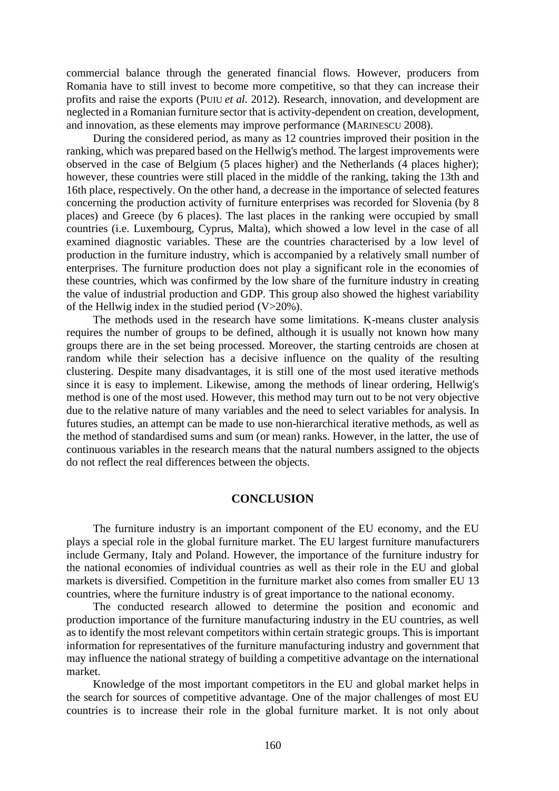commercial balance through the generated financial flows. However, producers from Romania have to still invest to become more competitive, so that they can increase their profits and raise the exports (PUIU *et al.* 2012). Research, innovation, and development are neglected in a Romanian furniture sector that is activity-dependent on creation, development, and innovation, as these elements may improve performance (MARINESCU 2008).

During the considered period, as many as 12 countries improved their position in the ranking, which was prepared based on the Hellwig's method. The largest improvements were observed in the case of Belgium (5 places higher) and the Netherlands (4 places higher); however, these countries were still placed in the middle of the ranking, taking the 13th and 16th place, respectively. On the other hand, a decrease in the importance of selected features concerning the production activity of furniture enterprises was recorded for Slovenia (by 8 places) and Greece (by 6 places). The last places in the ranking were occupied by small countries (i.e. Luxembourg, Cyprus, Malta), which showed a low level in the case of all examined diagnostic variables. These are the countries characterised by a low level of production in the furniture industry, which is accompanied by a relatively small number of enterprises. The furniture production does not play a significant role in the economies of these countries, which was confirmed by the low share of the furniture industry in creating the value of industrial production and GDP. This group also showed the highest variability of the Hellwig index in the studied period  $(V>20\%)$ .

The methods used in the research have some limitations. K-means cluster analysis requires the number of groups to be defined, although it is usually not known how many groups there are in the set being processed. Moreover, the starting centroids are chosen at random while their selection has a decisive influence on the quality of the resulting clustering. Despite many disadvantages, it is still one of the most used iterative methods since it is easy to implement. Likewise, among the methods of linear ordering, Hellwig's method is one of the most used. However, this method may turn out to be not very objective due to the relative nature of many variables and the need to select variables for analysis. In futures studies, an attempt can be made to use non-hierarchical iterative methods, as well as the method of standardised sums and sum (or mean) ranks. However, in the latter, the use of continuous variables in the research means that the natural numbers assigned to the objects do not reflect the real differences between the objects.

#### **CONCLUSION**

The furniture industry is an important component of the EU economy, and the EU plays a special role in the global furniture market. The EU largest furniture manufacturers include Germany, Italy and Poland. However, the importance of the furniture industry for the national economies of individual countries as well as their role in the EU and global markets is diversified. Competition in the furniture market also comes from smaller EU 13 countries, where the furniture industry is of great importance to the national economy.

The conducted research allowed to determine the position and economic and production importance of the furniture manufacturing industry in the EU countries, as well as to identify the most relevant competitors within certain strategic groups. This is important information for representatives of the furniture manufacturing industry and government that may influence the national strategy of building a competitive advantage on the international market.

Knowledge of the most important competitors in the EU and global market helps in the search for sources of competitive advantage. One of the major challenges of most EU countries is to increase their role in the global furniture market. It is not only about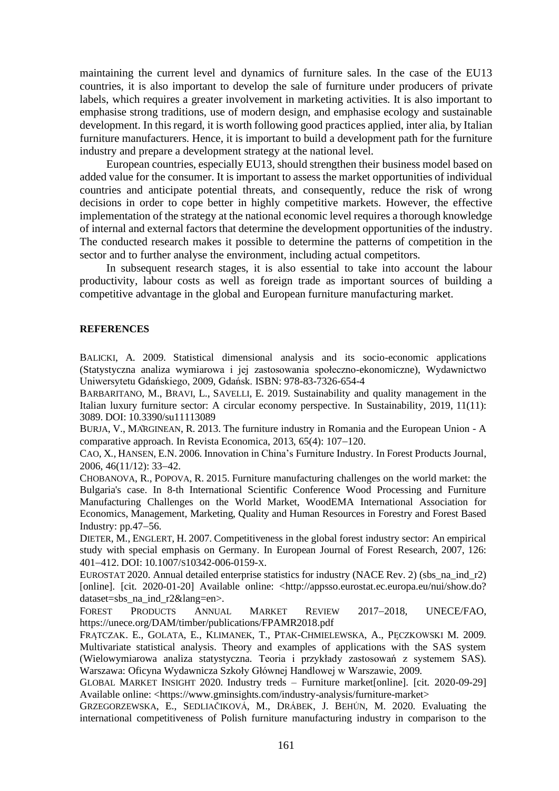maintaining the current level and dynamics of furniture sales. In the case of the EU13 countries, it is also important to develop the sale of furniture under producers of private labels, which requires a greater involvement in marketing activities. It is also important to emphasise strong traditions, use of modern design, and emphasise ecology and sustainable development. In this regard, it is worth following good practices applied, inter alia, by Italian furniture manufacturers. Hence, it is important to build a development path for the furniture industry and prepare a development strategy at the national level.

European countries, especially EU13, should strengthen their business model based on added value for the consumer. It is important to assess the market opportunities of individual countries and anticipate potential threats, and consequently, reduce the risk of wrong decisions in order to cope better in highly competitive markets. However, the effective implementation of the strategy at the national economic level requires a thorough knowledge of internal and external factors that determine the development opportunities of the industry. The conducted research makes it possible to determine the patterns of competition in the sector and to further analyse the environment, including actual competitors.

In subsequent research stages, it is also essential to take into account the labour productivity, labour costs as well as foreign trade as important sources of building a competitive advantage in the global and European furniture manufacturing market.

#### **REFERENCES**

BALICKI, A. 2009. Statistical dimensional analysis and its socio-economic applications (Statystyczna analiza wymiarowa i jej zastosowania społeczno-ekonomiczne), Wydawnictwo Uniwersytetu Gdańskiego, 2009, Gdańsk. ISBN: 978-83-7326-654-4

BARBARITANO, M., BRAVI, L., SAVELLI, E. 2019. Sustainability and quality management in the Italian luxury furniture sector: A circular economy perspective. In Sustainability, 2019, 11(11): 3089. DOI: 10.3390/su11113089

BURJA, V., MĂRGINEAN, R. 2013. The furniture industry in Romania and the European Union - A comparative approach. In Revista Economica, 2013, 65(4): 107−120.

CAO, X., HANSEN, E.N. 2006. Innovation in China's Furniture Industry. In Forest Products Journal, 2006, 46(11/12): 33−42.

CHOBANOVA, R., POPOVA, R. 2015. Furniture manufacturing challenges on the world market: the Bulgaria's case. In 8-th International Scientific Conference Wood Processing and Furniture Manufacturing Challenges on the World Market, WoodEMA International Association for Economics, Management, Marketing, Quality and Human Resources in Forestry and Forest Based Industry: pp.47−56.

DIETER, M., ENGLERT, H. 2007. Competitiveness in the global forest industry sector: An empirical study with special emphasis on Germany. In European Journal of Forest Research, 2007, 126: 401−412. DOI: 10.1007/S10342-006-0159-X.

EUROSTAT 2020. Annual detailed enterprise statistics for industry (NACE Rev. 2) (sbs\_na\_ind\_r2) [online]. [cit. 2020-01-20] Available online: <http://appsso.eurostat.ec.europa.eu/nui/show.do? dataset=sbs\_na\_ind\_r2&lang=en>.

FOREST PRODUCTS ANNUAL MARKET REVIEW 2017−2018, UNECE/FAO, https://unece.org/DAM/timber/publications/FPAMR2018.pdf

FRĄTCZAK. E., GOLATA, E., KLIMANEK, T., PTAK-CHMIELEWSKA, A., PĘCZKOWSKI M. 2009. Multivariate statistical analysis. Theory and examples of applications with the SAS system (Wielowymiarowa analiza statystyczna. Teoria i przykłady zastosowań z systemem SAS). Warszawa: Oficyna Wydawnicza Szkoły Głównej Handlowej w Warszawie, 2009.

GLOBAL MARKET INSIGHT 2020. Industry treds – Furniture market[online]. [cit. 2020-09-29] Available online: <https://www.gminsights.com/industry-analysis/furniture-market>

GRZEGORZEWSKA, E., SEDLIAČIKOVÁ, M., DRÁBEK, J. BEHÚN, M. 2020. Evaluating the international competitiveness of Polish furniture manufacturing industry in comparison to the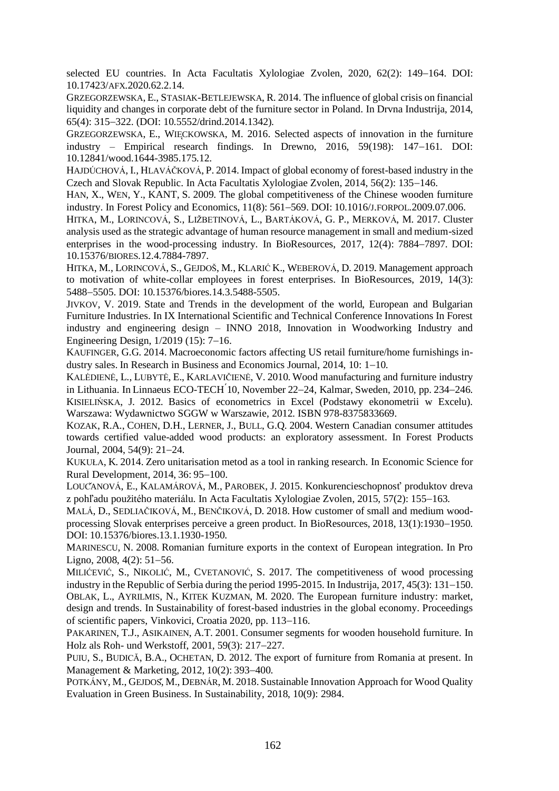selected EU countries. In Acta Facultatis Xylologiae Zvolen, 2020, 62(2): 149−164. DOI: 10.17423/AFX.2020.62.2.14.

GRZEGORZEWSKA, E., STASIAK-BETLEJEWSKA, R. 2014. The influence of global crisis on financial liquidity and changes in corporate debt of the furniture sector in Poland. In Drvna Industrija, 2014, 65(4): 315−322. (DOI: 10.5552/drind.2014.1342).

GRZEGORZEWSKA, E., WIECKOWSKA, M. 2016. Selected aspects of innovation in the furniture industry – Empirical research findings. In Drewno, 2016, 59(198): 147−161. DOI: 10.12841/wood.1644-3985.175.12.

HAJDÚCHOVÁ, I., HLAVÁČKOVÁ, P. 2014. Impact of global economy of forest-based industry in the Czech and Slovak Republic. In Acta Facultatis Xylologiae Zvolen, 2014, 56(2): 135−146.

HAN, X., WEN, Y., KANT, S. 2009. The global competitiveness of the Chinese wooden furniture industry. In Forest Policy and Economics, 11(8): 561−569. DOI: 10.1016/J.FORPOL.2009.07.006.

HITKA, M., LORINCOVÁ, S., LIŽBETINOVÁ, L., BARTÁKOVÁ, G. P., MERKOVÁ, M. 2017. Cluster analysis used as the strategic advantage of human resource management in small and medium-sized enterprises in the wood-processing industry. In BioResources, 2017, 12(4): 7884−7897. DOI: 10.15376/BIORES.12.4.7884-7897.

HITKA, M., LORINCOVÁ, S., GEJDOŠ, M., KLARIĆ K., WEBEROVÁ, D. 2019. Management approach to motivation of white-collar employees in forest enterprises. In BioResources, 2019, 14(3): 5488−5505. DOI: 10.15376/biores.14.3.5488-5505.

JIVKOV, V. 2019. State and Trends in the development of the world, European and Bulgarian Furniture Industries. In IX International Scientific and Technical Conference Innovations In Forest industry and engineering design – INNO 2018, Innovation in Woodworking Industry and Engineering Design, 1/2019 (15): 7−16.

KAUFINGER, G.G. 2014. Macroeconomic factors affecting US retail furniture/home furnishings industry sales. In Research in Business and Economics Journal, 2014, 10: 1−10.

KALĖDIENĖ, L., LUBYTĖ, E., KARLAVIČIENĖ, V. 2010. Wood manufacturing and furniture industry in Lithuania. In Linnaeus ECO-TECH ́10, November 22−24, Kalmar, Sweden, 2010, pp. 234−246. KISIELIŃSKA, J. 2012. Basics of econometrics in Excel (Podstawy ekonometrii w Excelu). Warszawa: Wydawnictwo SGGW w Warszawie, 2012. ISBN 978-8375833669.

KOZAK, R.A., COHEN, D.H., LERNER, J., BULL, G.Q. 2004. Western Canadian consumer attitudes towards certified value-added wood products: an exploratory assessment. In Forest Products Journal, 2004, 54(9): 21−24.

KUKUŁA, K. 2014. Zero unitarisation metod as a tool in ranking research. In Economic Science for Rural Development, 2014, 36: 95−100.

LOUČANOVÁ, E., KALAMÁROVÁ, M., PAROBEK, J. 2015. Konkurencieschopnosť produktov dreva z pohľadu použitého materiálu. In Acta Facultatis Xylologiae Zvolen, 2015, 57(2): 155−163.

MALÁ, D., SEDLIAČIKOVÁ, M., BENČIKOVÁ, D. 2018. How customer of small and medium woodprocessing Slovak enterprises perceive a green product. In BioResources, 2018, 13(1):1930−1950. DOI: 10.15376/biores.13.1.1930-1950.

MARINESCU, N. 2008. Romanian furniture exports in the context of European integration. In Pro Ligno, 2008, 4(2): 51−56.

MILIĆEVIĆ, S., NIKOLIĆ, M., CVETANOVIĆ, S. 2017. The competitiveness of wood processing industry in the Republic of Serbia during the period 1995-2015. In Industrija, 2017, 45(3): 131−150. OBLAK, L., AYRILMIS, N., KITEK KUZMAN, M. 2020. The European furniture industry: market, design and trends. In Sustainability of forest-based industries in the global economy. Proceedings of scientific papers, Vinkovici, Croatia 2020, pp. 113−116.

PAKARINEN, T.J., ASIKAINEN, A.T. 2001. Consumer segments for wooden household furniture. In Holz als Roh- und Werkstoff, 2001, 59(3): 217−227.

PUIU, S., BUDICĂ, B.A., OCHETAN, D. 2012. The export of furniture from Romania at present. In Management & Marketing, 2012, 10(2): 393−400.

POTKÁNY, M., GEJDOŠ, M., DEBNÁR, M. 2018. Sustainable Innovation Approach for Wood Quality Evaluation in Green Business. In Sustainability, 2018, 10(9): 2984.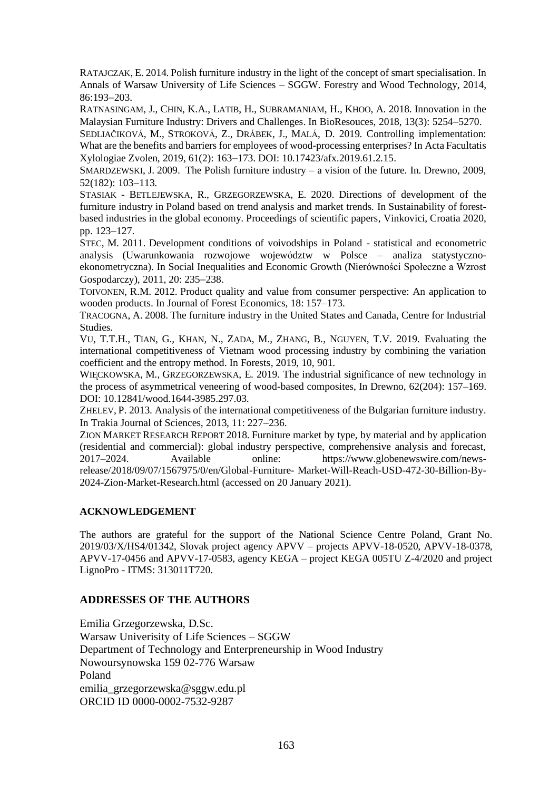RATAJCZAK, E. 2014. Polish furniture industry in the light of the concept of smart specialisation. In Annals of Warsaw University of Life Sciences – SGGW. Forestry and Wood Technology, 2014, 86:193−203.

RATNASINGAM, J., CHIN, K.A., LATIB, H., SUBRAMANIAM, H., KHOO, A. 2018. Innovation in the Malaysian Furniture Industry: Drivers and Challenges. In BioResouces, 2018, 13(3): 5254−5270.

SEDLIAČIKOVÁ, M., STROKOVÁ, Z., DRÁBEK, J., MALÁ, D. 2019. Controlling implementation: What are the benefits and barriers for employees of wood-processing enterprises? In Acta Facultatis Xylologiae Zvolen, 2019, 61(2): 163−173. DOI: 10.17423/afx.2019.61.2.15.

SMARDZEWSKI, J. 2009. The Polish furniture industry – a vision of the future. In. Drewno, 2009, 52(182): 103−113.

STASIAK - BETLEJEWSKA, R., GRZEGORZEWSKA, E. 2020. Directions of development of the furniture industry in Poland based on trend analysis and market trends. In Sustainability of forestbased industries in the global economy. Proceedings of scientific papers, Vinkovici, Croatia 2020, pp. 123−127.

STEC, M. 2011. Development conditions of voivodships in Poland - statistical and econometric analysis (Uwarunkowania rozwojowe województw w Polsce – analiza statystycznoekonometryczna). In Social Inequalities and Economic Growth (Nierówności Społeczne a Wzrost Gospodarczy), 2011, 20: 235−238.

TOIVONEN, R.M. 2012. Product quality and value from consumer perspective: An application to wooden products. In Journal of Forest Economics, 18: 157–173.

TRACOGNA, A. 2008. The furniture industry in the United States and Canada, Centre for Industrial Studies.

VU, T.T.H., TIAN, G., KHAN, N., ZADA, M., ZHANG, B., NGUYEN, T.V. 2019. Evaluating the international competitiveness of Vietnam wood processing industry by combining the variation coefficient and the entropy method. In Forests, 2019, 10, 901.

WIECKOWSKA, M., GRZEGORZEWSKA, E. 2019. The industrial significance of new technology in the process of asymmetrical veneering of wood-based composites, In Drewno, 62(204): 157–169. DOI: 10.12841/wood.1644-3985.297.03.

ZHELEV, P. 2013. Analysis of the international competitiveness of the Bulgarian furniture industry. In Trakia Journal of Sciences, 2013, 11: 227−236.

ZION MARKET RESEARCH REPORT 2018. Furniture market by type, by material and by application (residential and commercial): global industry perspective, comprehensive analysis and forecast, 2017–2024. Available online: https://www.globenewswire.com/newsrelease/2018/09/07/1567975/0/en/Global-Furniture- Market-Will-Reach-USD-472-30-Billion-By-2024-Zion-Market-Research.html (accessed on 20 January 2021).

## **ACKNOWLEDGEMENT**

The authors are grateful for the support of the National Science Centre Poland, Grant No. 2019/03/X/HS4/01342, Slovak project agency APVV – projects APVV-18-0520, APVV-18-0378, APVV-17-0456 and APVV-17-0583, agency KEGA – project KEGA 005TU Z-4/2020 and project LignoPro - ITMS: 313011T720.

## **ADDRESSES OF THE AUTHORS**

Emilia Grzegorzewska, D.Sc. Warsaw Univerisity of Life Sciences – SGGW Department of Technology and Enterpreneurship in Wood Industry Nowoursynowska 159 02-776 Warsaw Poland emilia\_grzegorzewska@sggw.edu.pl ORCID ID 0000-0002-7532-9287